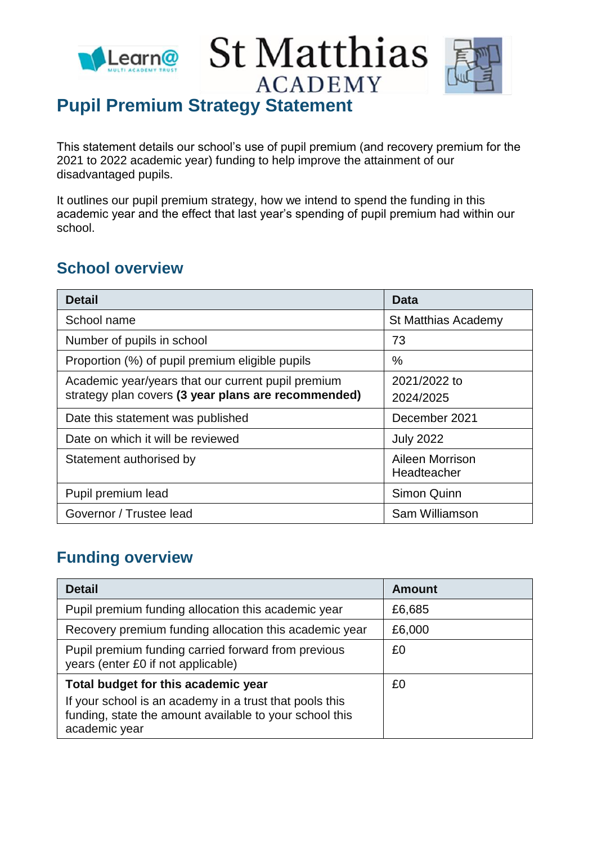



# **Pupil Premium Strategy Statement**

This statement details our school's use of pupil premium (and recovery premium for the 2021 to 2022 academic year) funding to help improve the attainment of our disadvantaged pupils.

It outlines our pupil premium strategy, how we intend to spend the funding in this academic year and the effect that last year's spending of pupil premium had within our school.

#### **School overview**

| <b>Detail</b>                                                                                             | Data                           |
|-----------------------------------------------------------------------------------------------------------|--------------------------------|
| School name                                                                                               | St Matthias Academy            |
| Number of pupils in school                                                                                | 73                             |
| Proportion (%) of pupil premium eligible pupils                                                           | $\%$                           |
| Academic year/years that our current pupil premium<br>strategy plan covers (3 year plans are recommended) | 2021/2022 to<br>2024/2025      |
| Date this statement was published                                                                         | December 2021                  |
| Date on which it will be reviewed                                                                         | <b>July 2022</b>               |
| Statement authorised by                                                                                   | Aileen Morrison<br>Headteacher |
| Pupil premium lead                                                                                        | Simon Quinn                    |
| Governor / Trustee lead                                                                                   | Sam Williamson                 |

## **Funding overview**

| <b>Detail</b>                                                                                                                       | <b>Amount</b> |
|-------------------------------------------------------------------------------------------------------------------------------------|---------------|
| Pupil premium funding allocation this academic year                                                                                 | £6,685        |
| Recovery premium funding allocation this academic year                                                                              | £6,000        |
| Pupil premium funding carried forward from previous<br>years (enter £0 if not applicable)                                           | £0            |
| Total budget for this academic year                                                                                                 | £0            |
| If your school is an academy in a trust that pools this<br>funding, state the amount available to your school this<br>academic year |               |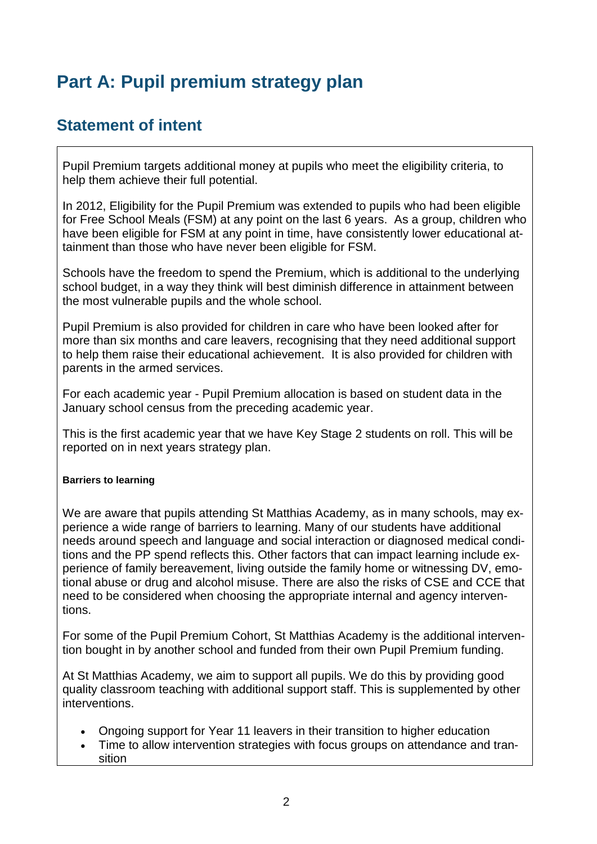# **Part A: Pupil premium strategy plan**

## **Statement of intent**

Pupil Premium targets additional money at pupils who meet the eligibility criteria, to help them achieve their full potential.

In 2012, Eligibility for the Pupil Premium was extended to pupils who had been eligible for Free School Meals (FSM) at any point on the last 6 years. As a group, children who have been eligible for FSM at any point in time, have consistently lower educational attainment than those who have never been eligible for FSM.

Schools have the freedom to spend the Premium, which is additional to the underlying school budget, in a way they think will best diminish difference in attainment between the most vulnerable pupils and the whole school.

Pupil Premium is also provided for children in care who have been looked after for more than six months and care leavers, recognising that they need additional support to help them raise their educational achievement. It is also provided for children with parents in the armed services.

For each academic year - Pupil Premium allocation is based on student data in the January school census from the preceding academic year.

This is the first academic year that we have Key Stage 2 students on roll. This will be reported on in next years strategy plan.

#### **Barriers to learning**

We are aware that pupils attending St Matthias Academy, as in many schools, may experience a wide range of barriers to learning. Many of our students have additional needs around speech and language and social interaction or diagnosed medical conditions and the PP spend reflects this. Other factors that can impact learning include experience of family bereavement, living outside the family home or witnessing DV, emotional abuse or drug and alcohol misuse. There are also the risks of CSE and CCE that need to be considered when choosing the appropriate internal and agency interventions.

For some of the Pupil Premium Cohort, St Matthias Academy is the additional intervention bought in by another school and funded from their own Pupil Premium funding.

At St Matthias Academy, we aim to support all pupils. We do this by providing good quality classroom teaching with additional support staff. This is supplemented by other interventions.

- Ongoing support for Year 11 leavers in their transition to higher education
- Time to allow intervention strategies with focus groups on attendance and transition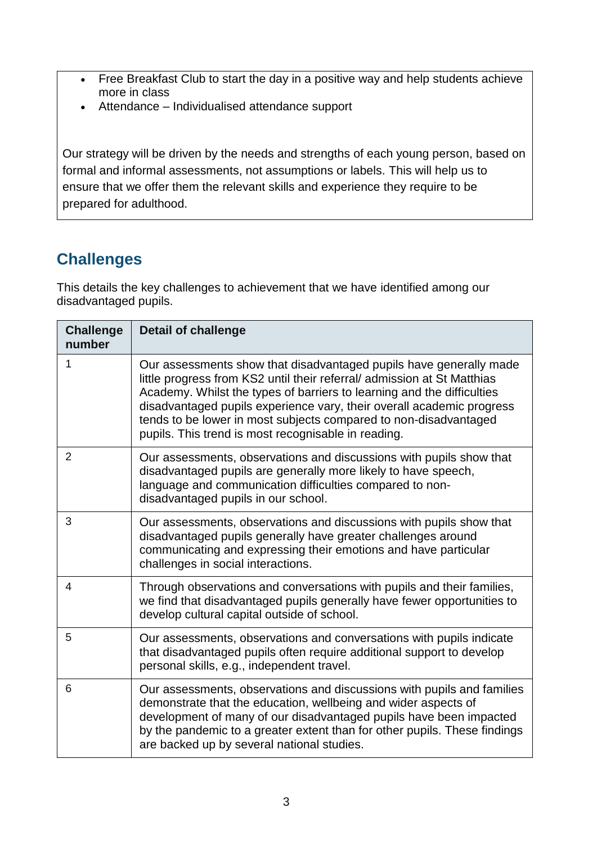- Free Breakfast Club to start the day in a positive way and help students achieve more in class
- Attendance Individualised attendance support

Our strategy will be driven by the needs and strengths of each young person, based on formal and informal assessments, not assumptions or labels. This will help us to ensure that we offer them the relevant skills and experience they require to be prepared for adulthood.

# **Challenges**

This details the key challenges to achievement that we have identified among our disadvantaged pupils.

| <b>Challenge</b><br>number | <b>Detail of challenge</b>                                                                                                                                                                                                                                                                                                                                                                                                  |
|----------------------------|-----------------------------------------------------------------------------------------------------------------------------------------------------------------------------------------------------------------------------------------------------------------------------------------------------------------------------------------------------------------------------------------------------------------------------|
| 1                          | Our assessments show that disadvantaged pupils have generally made<br>little progress from KS2 until their referral/ admission at St Matthias<br>Academy. Whilst the types of barriers to learning and the difficulties<br>disadvantaged pupils experience vary, their overall academic progress<br>tends to be lower in most subjects compared to non-disadvantaged<br>pupils. This trend is most recognisable in reading. |
| 2                          | Our assessments, observations and discussions with pupils show that<br>disadvantaged pupils are generally more likely to have speech,<br>language and communication difficulties compared to non-<br>disadvantaged pupils in our school.                                                                                                                                                                                    |
| 3                          | Our assessments, observations and discussions with pupils show that<br>disadvantaged pupils generally have greater challenges around<br>communicating and expressing their emotions and have particular<br>challenges in social interactions.                                                                                                                                                                               |
| 4                          | Through observations and conversations with pupils and their families,<br>we find that disadvantaged pupils generally have fewer opportunities to<br>develop cultural capital outside of school.                                                                                                                                                                                                                            |
| 5                          | Our assessments, observations and conversations with pupils indicate<br>that disadvantaged pupils often require additional support to develop<br>personal skills, e.g., independent travel.                                                                                                                                                                                                                                 |
| 6                          | Our assessments, observations and discussions with pupils and families<br>demonstrate that the education, wellbeing and wider aspects of<br>development of many of our disadvantaged pupils have been impacted<br>by the pandemic to a greater extent than for other pupils. These findings<br>are backed up by several national studies.                                                                                   |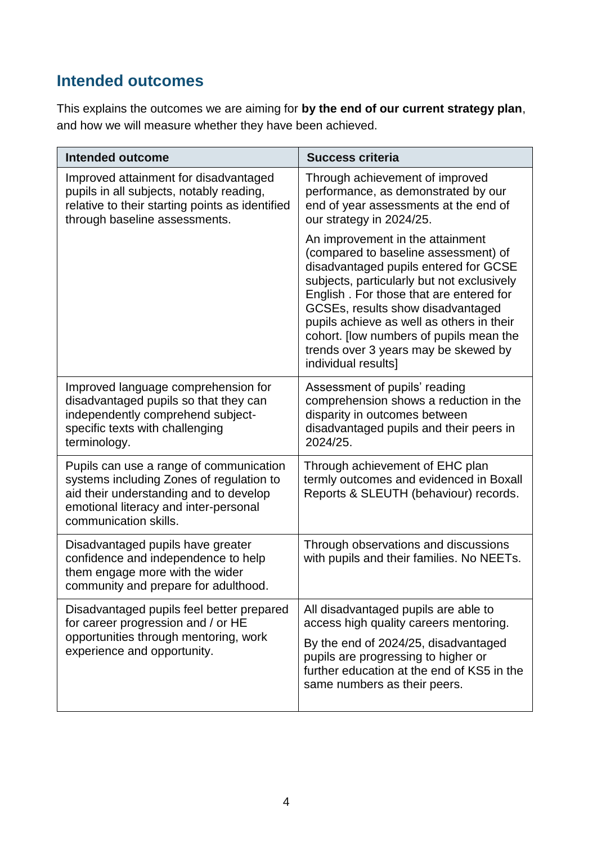# **Intended outcomes**

This explains the outcomes we are aiming for **by the end of our current strategy plan**, and how we will measure whether they have been achieved.

| <b>Intended outcome</b>                                                                                                                                                                         | <b>Success criteria</b>                                                                                                                                                                                                                                                                                                                                                                                |
|-------------------------------------------------------------------------------------------------------------------------------------------------------------------------------------------------|--------------------------------------------------------------------------------------------------------------------------------------------------------------------------------------------------------------------------------------------------------------------------------------------------------------------------------------------------------------------------------------------------------|
| Improved attainment for disadvantaged<br>pupils in all subjects, notably reading,<br>relative to their starting points as identified<br>through baseline assessments.                           | Through achievement of improved<br>performance, as demonstrated by our<br>end of year assessments at the end of<br>our strategy in 2024/25.                                                                                                                                                                                                                                                            |
|                                                                                                                                                                                                 | An improvement in the attainment<br>(compared to baseline assessment) of<br>disadvantaged pupils entered for GCSE<br>subjects, particularly but not exclusively<br>English. For those that are entered for<br>GCSEs, results show disadvantaged<br>pupils achieve as well as others in their<br>cohort. [low numbers of pupils mean the<br>trends over 3 years may be skewed by<br>individual results] |
| Improved language comprehension for<br>disadvantaged pupils so that they can<br>independently comprehend subject-<br>specific texts with challenging<br>terminology.                            | Assessment of pupils' reading<br>comprehension shows a reduction in the<br>disparity in outcomes between<br>disadvantaged pupils and their peers in<br>2024/25.                                                                                                                                                                                                                                        |
| Pupils can use a range of communication<br>systems including Zones of regulation to<br>aid their understanding and to develop<br>emotional literacy and inter-personal<br>communication skills. | Through achievement of EHC plan<br>termly outcomes and evidenced in Boxall<br>Reports & SLEUTH (behaviour) records.                                                                                                                                                                                                                                                                                    |
| Disadvantaged pupils have greater<br>confidence and independence to help<br>them engage more with the wider<br>community and prepare for adulthood.                                             | Through observations and discussions<br>with pupils and their families. No NEETs.                                                                                                                                                                                                                                                                                                                      |
| Disadvantaged pupils feel better prepared<br>for career progression and / or HE<br>opportunities through mentoring, work<br>experience and opportunity.                                         | All disadvantaged pupils are able to<br>access high quality careers mentoring.<br>By the end of 2024/25, disadvantaged<br>pupils are progressing to higher or<br>further education at the end of KS5 in the<br>same numbers as their peers.                                                                                                                                                            |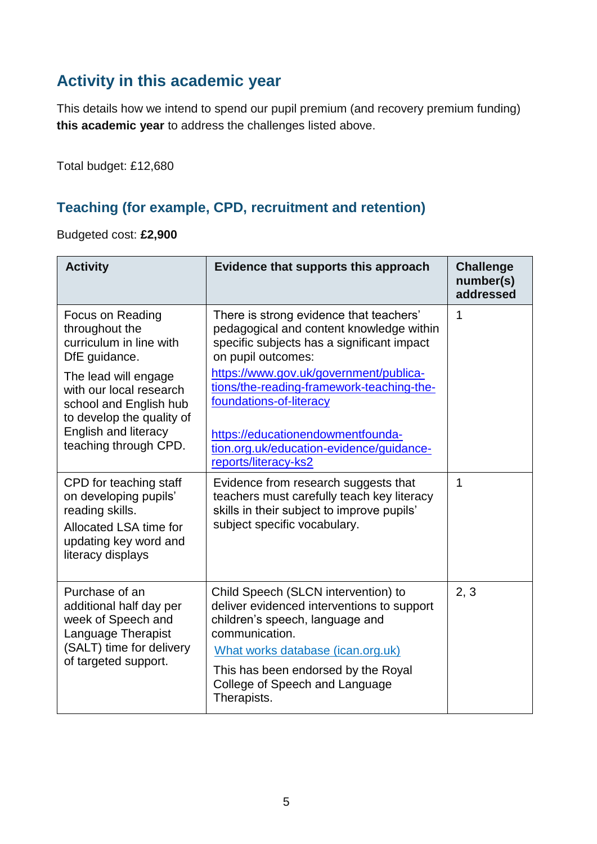# **Activity in this academic year**

This details how we intend to spend our pupil premium (and recovery premium funding) **this academic year** to address the challenges listed above.

Total budget: £12,680

#### **Teaching (for example, CPD, recruitment and retention)**

Budgeted cost: **£2,900**

| <b>Activity</b>                                                                                                                            | Evidence that supports this approach                                                                                                                                        | <b>Challenge</b><br>number(s)<br>addressed |
|--------------------------------------------------------------------------------------------------------------------------------------------|-----------------------------------------------------------------------------------------------------------------------------------------------------------------------------|--------------------------------------------|
| <b>Focus on Reading</b><br>throughout the<br>curriculum in line with<br>DfE guidance.                                                      | There is strong evidence that teachers'<br>pedagogical and content knowledge within<br>specific subjects has a significant impact<br>on pupil outcomes:                     | 1                                          |
| The lead will engage<br>with our local research<br>school and English hub<br>to develop the quality of                                     | https://www.gov.uk/government/publica-<br>tions/the-reading-framework-teaching-the-<br>foundations-of-literacy                                                              |                                            |
| English and literacy<br>teaching through CPD.                                                                                              | https://educationendowmentfounda-<br>tion.org.uk/education-evidence/guidance-<br>reports/literacy-ks2                                                                       |                                            |
| CPD for teaching staff<br>on developing pupils'<br>reading skills.<br>Allocated LSA time for<br>updating key word and<br>literacy displays | Evidence from research suggests that<br>teachers must carefully teach key literacy<br>skills in their subject to improve pupils'<br>subject specific vocabulary.            | 1                                          |
| Purchase of an<br>additional half day per<br>week of Speech and<br>Language Therapist<br>(SALT) time for delivery<br>of targeted support.  | Child Speech (SLCN intervention) to<br>deliver evidenced interventions to support<br>children's speech, language and<br>communication.<br>What works database (ican.org.uk) | 2, 3                                       |
|                                                                                                                                            | This has been endorsed by the Royal<br>College of Speech and Language<br>Therapists.                                                                                        |                                            |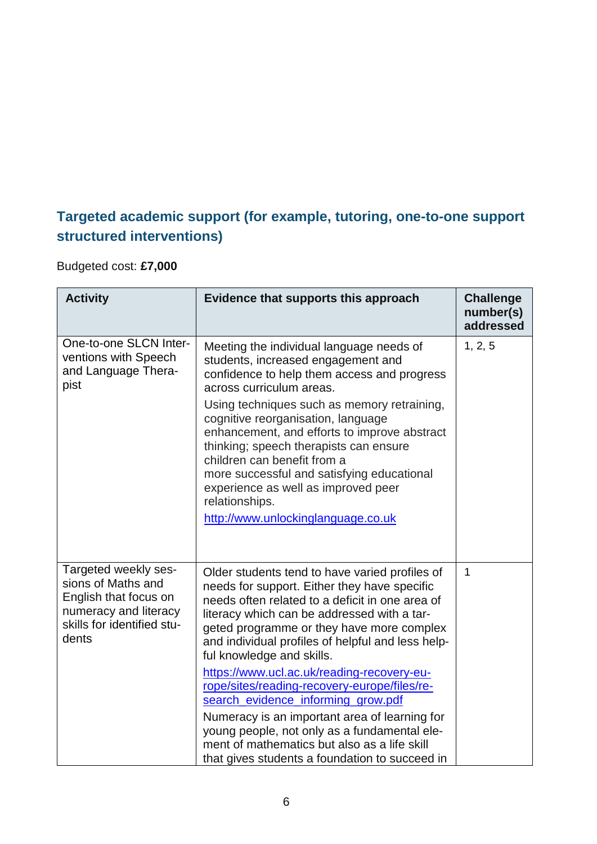#### **Targeted academic support (for example, tutoring, one-to-one support structured interventions)**

Budgeted cost: **£7,000**

| <b>Activity</b>                                                                                                                     | Evidence that supports this approach                                                                                                                                                                                                                                                                                            | <b>Challenge</b><br>number(s)<br>addressed |
|-------------------------------------------------------------------------------------------------------------------------------------|---------------------------------------------------------------------------------------------------------------------------------------------------------------------------------------------------------------------------------------------------------------------------------------------------------------------------------|--------------------------------------------|
| One-to-one SLCN Inter-<br>ventions with Speech<br>and Language Thera-<br>pist                                                       | Meeting the individual language needs of<br>students, increased engagement and<br>confidence to help them access and progress<br>across curriculum areas.<br>Using techniques such as memory retraining,<br>cognitive reorganisation, language                                                                                  | 1, 2, 5                                    |
|                                                                                                                                     | enhancement, and efforts to improve abstract<br>thinking; speech therapists can ensure<br>children can benefit from a<br>more successful and satisfying educational<br>experience as well as improved peer<br>relationships.<br>http://www.unlockinglanguage.co.uk                                                              |                                            |
| Targeted weekly ses-<br>sions of Maths and<br>English that focus on<br>numeracy and literacy<br>skills for identified stu-<br>dents | Older students tend to have varied profiles of<br>needs for support. Either they have specific<br>needs often related to a deficit in one area of<br>literacy which can be addressed with a tar-<br>geted programme or they have more complex<br>and individual profiles of helpful and less help-<br>ful knowledge and skills. | 1                                          |
|                                                                                                                                     | https://www.ucl.ac.uk/reading-recovery-eu-<br>rope/sites/reading-recovery-europe/files/re-<br>search_evidence_informing_grow.pdf                                                                                                                                                                                                |                                            |
|                                                                                                                                     | Numeracy is an important area of learning for<br>young people, not only as a fundamental ele-<br>ment of mathematics but also as a life skill<br>that gives students a foundation to succeed in                                                                                                                                 |                                            |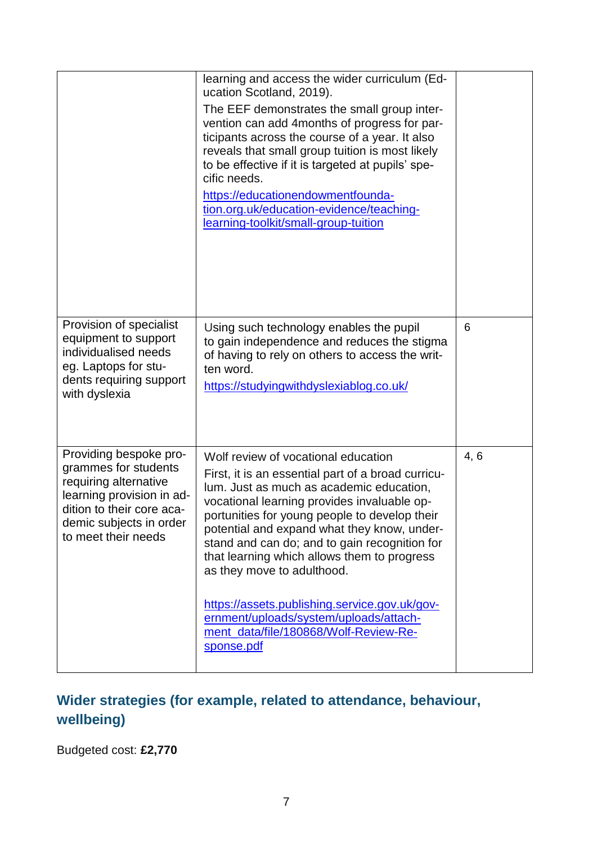|                                                                                                                                                                                     | learning and access the wider curriculum (Ed-<br>ucation Scotland, 2019).<br>The EEF demonstrates the small group inter-<br>vention can add 4 months of progress for par-<br>ticipants across the course of a year. It also<br>reveals that small group tuition is most likely<br>to be effective if it is targeted at pupils' spe-<br>cific needs.<br>https://educationendowmentfounda-<br>tion.org.uk/education-evidence/teaching-<br>learning-toolkit/small-group-tuition                                                                           |      |
|-------------------------------------------------------------------------------------------------------------------------------------------------------------------------------------|--------------------------------------------------------------------------------------------------------------------------------------------------------------------------------------------------------------------------------------------------------------------------------------------------------------------------------------------------------------------------------------------------------------------------------------------------------------------------------------------------------------------------------------------------------|------|
| Provision of specialist<br>equipment to support<br>individualised needs<br>eg. Laptops for stu-<br>dents requiring support<br>with dyslexia                                         | Using such technology enables the pupil<br>to gain independence and reduces the stigma<br>of having to rely on others to access the writ-<br>ten word.<br>https://studyingwithdyslexiablog.co.uk/                                                                                                                                                                                                                                                                                                                                                      | 6    |
| Providing bespoke pro-<br>grammes for students<br>requiring alternative<br>learning provision in ad-<br>dition to their core aca-<br>demic subjects in order<br>to meet their needs | Wolf review of vocational education<br>First, it is an essential part of a broad curricu-<br>lum. Just as much as academic education,<br>vocational learning provides invaluable op-<br>portunities for young people to develop their<br>potential and expand what they know, under-<br>stand and can do; and to gain recognition for<br>that learning which allows them to progress<br>as they move to adulthood.<br>https://assets.publishing.service.gov.uk/gov-<br>ernment/uploads/system/uploads/attach-<br>ment_data/file/180868/Wolf-Review-Re- | 4, 6 |
|                                                                                                                                                                                     | sponse.pdf                                                                                                                                                                                                                                                                                                                                                                                                                                                                                                                                             |      |

# **Wider strategies (for example, related to attendance, behaviour, wellbeing)**

Budgeted cost: **£2,770**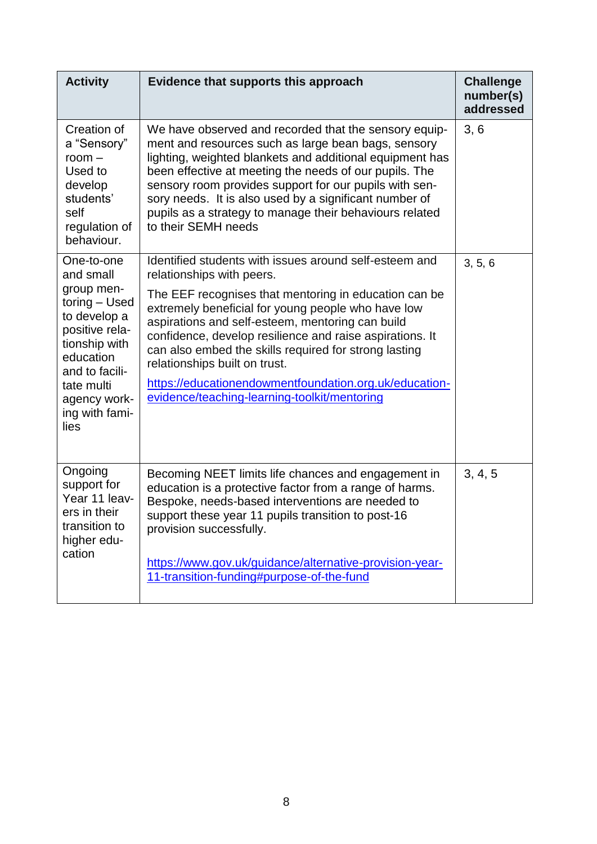| <b>Activity</b>                                                                                                                                                       | Evidence that supports this approach                                                                                                                                                                                                                                                                                                                                                                                                     | <b>Challenge</b><br>number(s)<br>addressed |
|-----------------------------------------------------------------------------------------------------------------------------------------------------------------------|------------------------------------------------------------------------------------------------------------------------------------------------------------------------------------------------------------------------------------------------------------------------------------------------------------------------------------------------------------------------------------------------------------------------------------------|--------------------------------------------|
| Creation of<br>a "Sensory"<br>$room -$<br>Used to<br>develop<br>students'<br>self<br>regulation of<br>behaviour.                                                      | We have observed and recorded that the sensory equip-<br>ment and resources such as large bean bags, sensory<br>lighting, weighted blankets and additional equipment has<br>been effective at meeting the needs of our pupils. The<br>sensory room provides support for our pupils with sen-<br>sory needs. It is also used by a significant number of<br>pupils as a strategy to manage their behaviours related<br>to their SEMH needs | 3, 6                                       |
| One-to-one<br>and small                                                                                                                                               | Identified students with issues around self-esteem and<br>relationships with peers.                                                                                                                                                                                                                                                                                                                                                      | 3, 5, 6                                    |
| group men-<br>toring - Used<br>to develop a<br>positive rela-<br>tionship with<br>education<br>and to facili-<br>tate multi<br>agency work-<br>ing with fami-<br>lies | The EEF recognises that mentoring in education can be<br>extremely beneficial for young people who have low<br>aspirations and self-esteem, mentoring can build<br>confidence, develop resilience and raise aspirations. It<br>can also embed the skills required for strong lasting<br>relationships built on trust.<br>https://educationendowmentfoundation.org.uk/education-<br>evidence/teaching-learning-toolkit/mentoring          |                                            |
| Ongoing<br>support for<br>Year 11 leav-<br>ers in their<br>transition to<br>higher edu-<br>cation                                                                     | Becoming NEET limits life chances and engagement in<br>education is a protective factor from a range of harms.<br>Bespoke, needs-based interventions are needed to<br>support these year 11 pupils transition to post-16<br>provision successfully.                                                                                                                                                                                      | 3, 4, 5                                    |
|                                                                                                                                                                       | https://www.gov.uk/guidance/alternative-provision-year-<br>11-transition-funding#purpose-of-the-fund                                                                                                                                                                                                                                                                                                                                     |                                            |